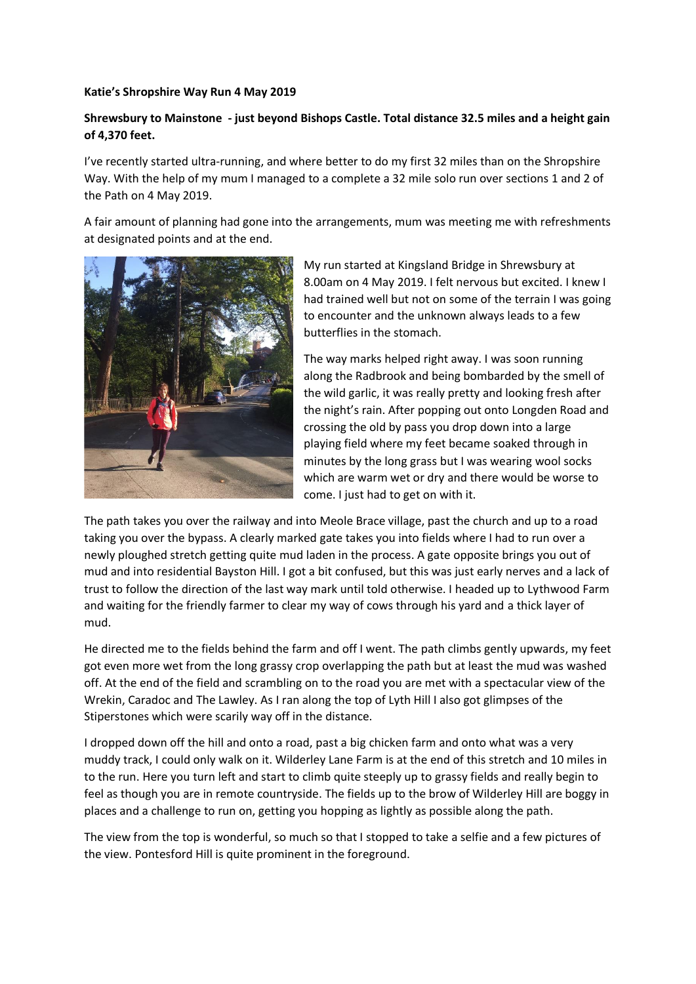## **Katie's Shropshire Way Run 4 May 2019**

## **Shrewsbury to Mainstone - just beyond Bishops Castle. Total distance 32.5 miles and a height gain of 4,370 feet.**

I've recently started ultra-running, and where better to do my first 32 miles than on the Shropshire Way. With the help of my mum I managed to a complete a 32 mile solo run over sections 1 and 2 of the Path on 4 May 2019.

A fair amount of planning had gone into the arrangements, mum was meeting me with refreshments at designated points and at the end.



My run started at Kingsland Bridge in Shrewsbury at 8.00am on 4 May 2019. I felt nervous but excited. I knew I had trained well but not on some of the terrain I was going to encounter and the unknown always leads to a few butterflies in the stomach.

The way marks helped right away. I was soon running along the Radbrook and being bombarded by the smell of the wild garlic, it was really pretty and looking fresh after the night's rain. After popping out onto Longden Road and crossing the old by pass you drop down into a large playing field where my feet became soaked through in minutes by the long grass but I was wearing wool socks which are warm wet or dry and there would be worse to come. I just had to get on with it.

The path takes you over the railway and into Meole Brace village, past the church and up to a road taking you over the bypass. A clearly marked gate takes you into fields where I had to run over a newly ploughed stretch getting quite mud laden in the process. A gate opposite brings you out of mud and into residential Bayston Hill. I got a bit confused, but this was just early nerves and a lack of trust to follow the direction of the last way mark until told otherwise. I headed up to Lythwood Farm and waiting for the friendly farmer to clear my way of cows through his yard and a thick layer of mud.

He directed me to the fields behind the farm and off I went. The path climbs gently upwards, my feet got even more wet from the long grassy crop overlapping the path but at least the mud was washed off. At the end of the field and scrambling on to the road you are met with a spectacular view of the Wrekin, Caradoc and The Lawley. As I ran along the top of Lyth Hill I also got glimpses of the Stiperstones which were scarily way off in the distance.

I dropped down off the hill and onto a road, past a big chicken farm and onto what was a very muddy track, I could only walk on it. Wilderley Lane Farm is at the end of this stretch and 10 miles in to the run. Here you turn left and start to climb quite steeply up to grassy fields and really begin to feel as though you are in remote countryside. The fields up to the brow of Wilderley Hill are boggy in places and a challenge to run on, getting you hopping as lightly as possible along the path.

The view from the top is wonderful, so much so that I stopped to take a selfie and a few pictures of the view. Pontesford Hill is quite prominent in the foreground.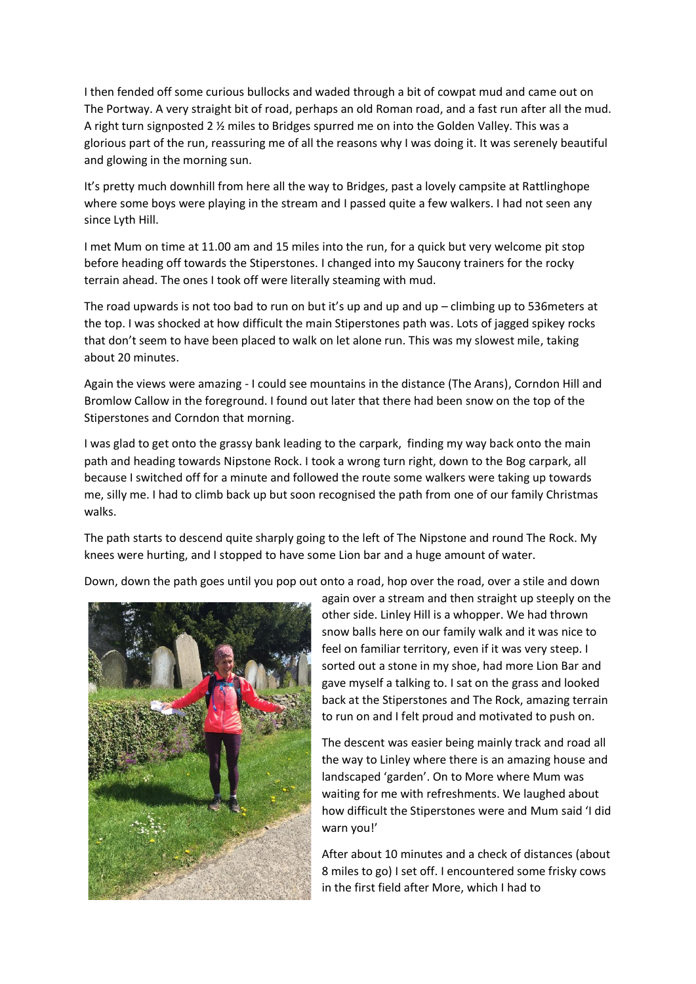I then fended off some curious bullocks and waded through a bit of cowpat mud and came out on The Portway. A very straight bit of road, perhaps an old Roman road, and a fast run after all the mud. A right turn signposted 2  $\frac{1}{2}$  miles to Bridges spurred me on into the Golden Valley. This was a glorious part of the run, reassuring me of all the reasons why I was doing it. It was serenely beautiful and glowing in the morning sun.

It's pretty much downhill from here all the way to Bridges, past a lovely campsite at Rattlinghope where some boys were playing in the stream and I passed quite a few walkers. I had not seen any since Lyth Hill.

I met Mum on time at 11.00 am and 15 miles into the run, for a quick but very welcome pit stop before heading off towards the Stiperstones. I changed into my Saucony trainers for the rocky terrain ahead. The ones I took off were literally steaming with mud.

The road upwards is not too bad to run on but it's up and up and up – climbing up to 536meters at the top. I was shocked at how difficult the main Stiperstones path was. Lots of jagged spikey rocks that don't seem to have been placed to walk on let alone run. This was my slowest mile, taking about 20 minutes.

Again the views were amazing - I could see mountains in the distance (The Arans), Corndon Hill and Bromlow Callow in the foreground. I found out later that there had been snow on the top of the Stiperstones and Corndon that morning.

I was glad to get onto the grassy bank leading to the carpark, finding my way back onto the main path and heading towards Nipstone Rock. I took a wrong turn right, down to the Bog carpark, all because I switched off for a minute and followed the route some walkers were taking up towards me, silly me. I had to climb back up but soon recognised the path from one of our family Christmas walks.

The path starts to descend quite sharply going to the left of The Nipstone and round The Rock. My knees were hurting, and I stopped to have some Lion bar and a huge amount of water.

Down, down the path goes until you pop out onto a road, hop over the road, over a stile and down



again over a stream and then straight up steeply on the other side. Linley Hill is a whopper. We had thrown snow balls here on our family walk and it was nice to feel on familiar territory, even if it was very steep. I sorted out a stone in my shoe, had more Lion Bar and gave myself a talking to. I sat on the grass and looked back at the Stiperstones and The Rock, amazing terrain to run on and I felt proud and motivated to push on.

The descent was easier being mainly track and road all the way to Linley where there is an amazing house and landscaped 'garden'. On to More where Mum was waiting for me with refreshments. We laughed about how difficult the Stiperstones were and Mum said 'I did warn you!'

After about 10 minutes and a check of distances (about 8 miles to go) I set off. I encountered some frisky cows in the first field after More, which I had to